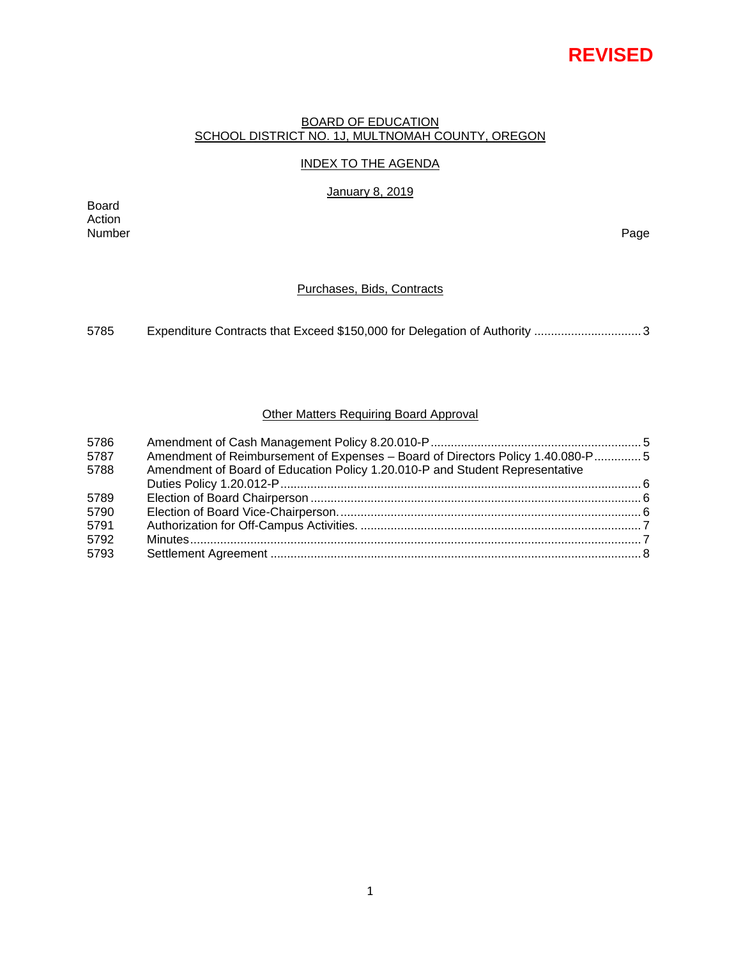# **REVISED**

#### BOARD OF EDUCATION SCHOOL DISTRICT NO. 1J, MULTNOMAH COUNTY, OREGON

#### INDEX TO THE AGENDA

January 8, 2019

Board Action Number Page

## Purchases, Bids, Contracts

| 5785 |  |
|------|--|
|      |  |

## Other Matters Requiring Board Approval

| 5786 |                                                                                |  |
|------|--------------------------------------------------------------------------------|--|
| 5787 | Amendment of Reimbursement of Expenses - Board of Directors Policy 1.40.080-P5 |  |
| 5788 | Amendment of Board of Education Policy 1.20.010-P and Student Representative   |  |
|      |                                                                                |  |
| 5789 |                                                                                |  |
| 5790 |                                                                                |  |
| 5791 |                                                                                |  |
| 5792 |                                                                                |  |
| 5793 |                                                                                |  |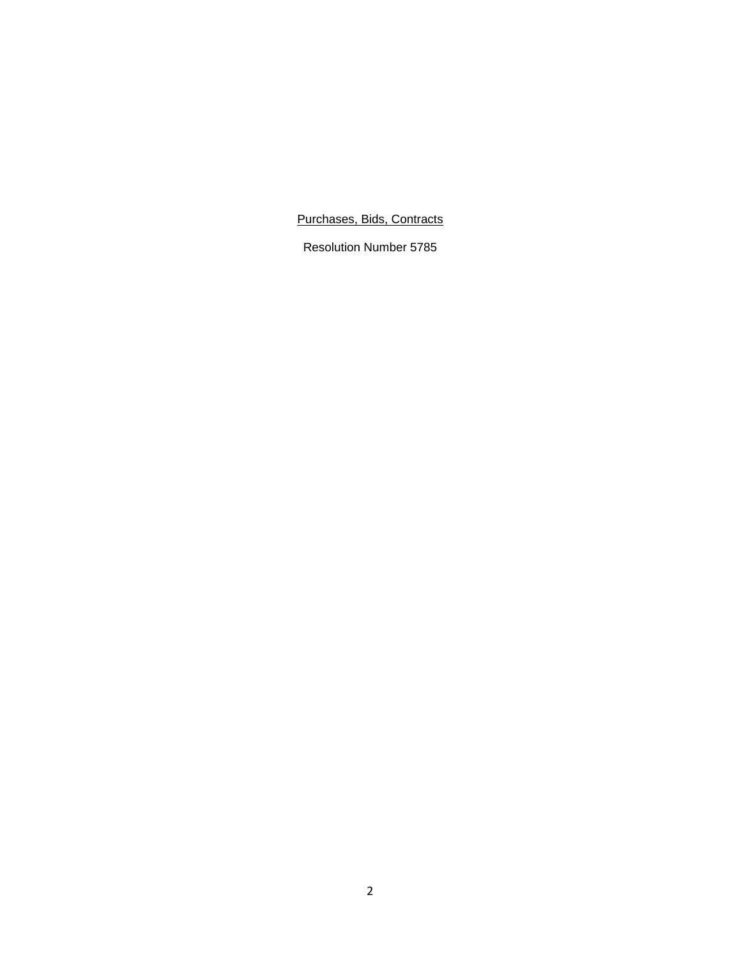Purchases, Bids, Contracts

Resolution Number 5785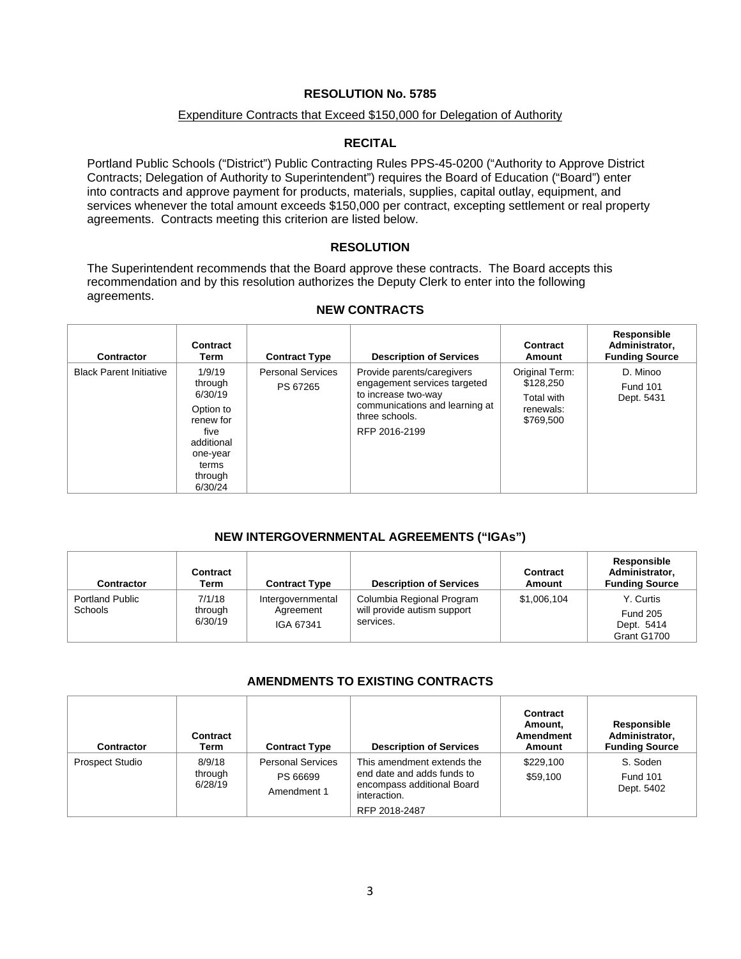#### Expenditure Contracts that Exceed \$150,000 for Delegation of Authority

## **RECITAL**

Portland Public Schools ("District") Public Contracting Rules PPS-45-0200 ("Authority to Approve District Contracts; Delegation of Authority to Superintendent") requires the Board of Education ("Board") enter into contracts and approve payment for products, materials, supplies, capital outlay, equipment, and services whenever the total amount exceeds \$150,000 per contract, excepting settlement or real property agreements. Contracts meeting this criterion are listed below.

## **RESOLUTION**

The Superintendent recommends that the Board approve these contracts. The Board accepts this recommendation and by this resolution authorizes the Deputy Clerk to enter into the following agreements.

| Contractor                     | Contract<br>Term                                                                                                        | <b>Contract Type</b>                 | <b>Description of Services</b>                                                                                                                         | Contract<br>Amount                                                  | Responsible<br>Administrator,<br><b>Funding Source</b> |
|--------------------------------|-------------------------------------------------------------------------------------------------------------------------|--------------------------------------|--------------------------------------------------------------------------------------------------------------------------------------------------------|---------------------------------------------------------------------|--------------------------------------------------------|
| <b>Black Parent Initiative</b> | 1/9/19<br>through<br>6/30/19<br>Option to<br>renew for<br>five<br>additional<br>one-year<br>terms<br>through<br>6/30/24 | <b>Personal Services</b><br>PS 67265 | Provide parents/caregivers<br>engagement services targeted<br>to increase two-way<br>communications and learning at<br>three schools.<br>RFP 2016-2199 | Original Term:<br>\$128,250<br>Total with<br>renewals:<br>\$769,500 | D. Minoo<br><b>Fund 101</b><br>Dept. 5431              |

#### **NEW CONTRACTS**

## **NEW INTERGOVERNMENTAL AGREEMENTS ("IGAs")**

| Contractor                               | Contract<br>Term             | <b>Contract Type</b>                        | <b>Description of Services</b>                                        | Contract<br>Amount | Responsible<br>Administrator,<br><b>Funding Source</b>    |
|------------------------------------------|------------------------------|---------------------------------------------|-----------------------------------------------------------------------|--------------------|-----------------------------------------------------------|
| <b>Portland Public</b><br><b>Schools</b> | 7/1/18<br>through<br>6/30/19 | Intergovernmental<br>Agreement<br>IGA 67341 | Columbia Regional Program<br>will provide autism support<br>services. | \$1,006,104        | Y. Curtis<br><b>Fund 205</b><br>Dept. 5414<br>Grant G1700 |

## **AMENDMENTS TO EXISTING CONTRACTS**

| <b>Contractor</b>      | Contract<br>Term             | <b>Contract Type</b>                                | <b>Description of Services</b>                                                                                          | Contract<br>Amount,<br>Amendment<br>Amount | <b>Responsible</b><br>Administrator,<br><b>Funding Source</b> |
|------------------------|------------------------------|-----------------------------------------------------|-------------------------------------------------------------------------------------------------------------------------|--------------------------------------------|---------------------------------------------------------------|
| <b>Prospect Studio</b> | 8/9/18<br>through<br>6/28/19 | <b>Personal Services</b><br>PS 66699<br>Amendment 1 | This amendment extends the<br>end date and adds funds to<br>encompass additional Board<br>interaction.<br>RFP 2018-2487 | \$229,100<br>\$59,100                      | S. Soden<br><b>Fund 101</b><br>Dept. 5402                     |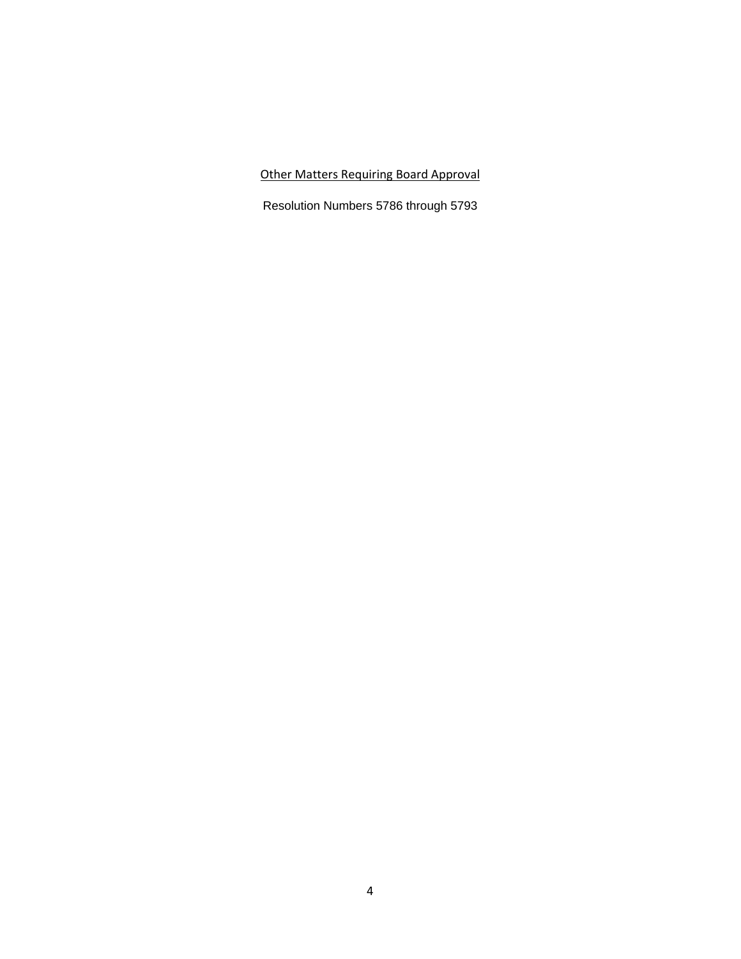## Other Matters Requiring Board Approval

Resolution Numbers 5786 through 5793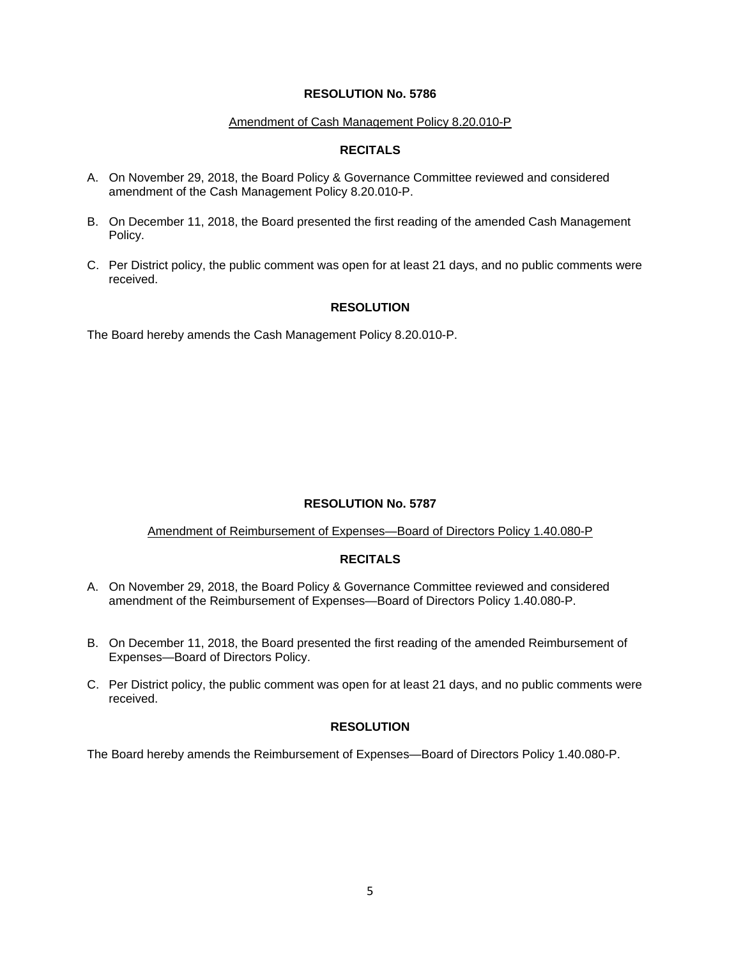#### Amendment of Cash Management Policy 8.20.010-P

## **RECITALS**

- A. On November 29, 2018, the Board Policy & Governance Committee reviewed and considered amendment of the Cash Management Policy 8.20.010-P.
- B. On December 11, 2018, the Board presented the first reading of the amended Cash Management Policy.
- C. Per District policy, the public comment was open for at least 21 days, and no public comments were received.

#### **RESOLUTION**

The Board hereby amends the Cash Management Policy 8.20.010-P.

## **RESOLUTION No. 5787**

#### Amendment of Reimbursement of Expenses—Board of Directors Policy 1.40.080-P

#### **RECITALS**

- A. On November 29, 2018, the Board Policy & Governance Committee reviewed and considered amendment of the Reimbursement of Expenses—Board of Directors Policy 1.40.080-P.
- B. On December 11, 2018, the Board presented the first reading of the amended Reimbursement of Expenses—Board of Directors Policy.
- C. Per District policy, the public comment was open for at least 21 days, and no public comments were received.

#### **RESOLUTION**

The Board hereby amends the Reimbursement of Expenses—Board of Directors Policy 1.40.080-P.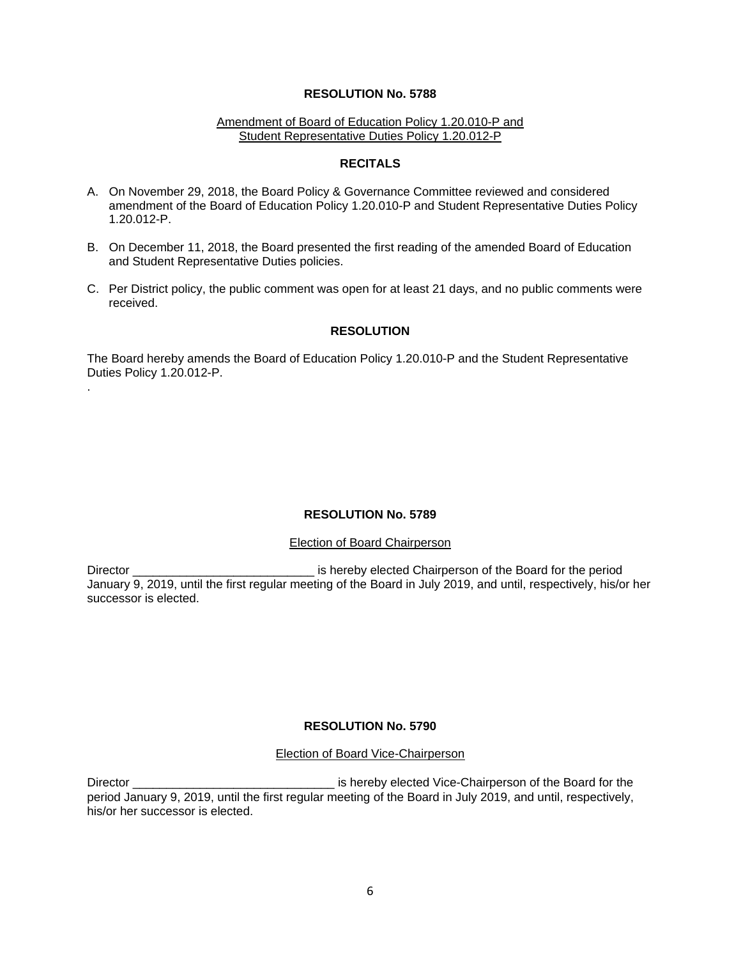#### Amendment of Board of Education Policy 1.20.010-P and Student Representative Duties Policy 1.20.012-P

#### **RECITALS**

- A. On November 29, 2018, the Board Policy & Governance Committee reviewed and considered amendment of the Board of Education Policy 1.20.010-P and Student Representative Duties Policy 1.20.012-P.
- B. On December 11, 2018, the Board presented the first reading of the amended Board of Education and Student Representative Duties policies.
- C. Per District policy, the public comment was open for at least 21 days, and no public comments were received.

#### **RESOLUTION**

The Board hereby amends the Board of Education Policy 1.20.010-P and the Student Representative Duties Policy 1.20.012-P.

.

#### **RESOLUTION No. 5789**

#### Election of Board Chairperson

Director **Director Example 2** is hereby elected Chairperson of the Board for the period January 9, 2019, until the first regular meeting of the Board in July 2019, and until, respectively, his/or her successor is elected.

#### **RESOLUTION No. 5790**

#### Election of Board Vice-Chairperson

Director **Director Example 2** is hereby elected Vice-Chairperson of the Board for the period January 9, 2019, until the first regular meeting of the Board in July 2019, and until, respectively, his/or her successor is elected.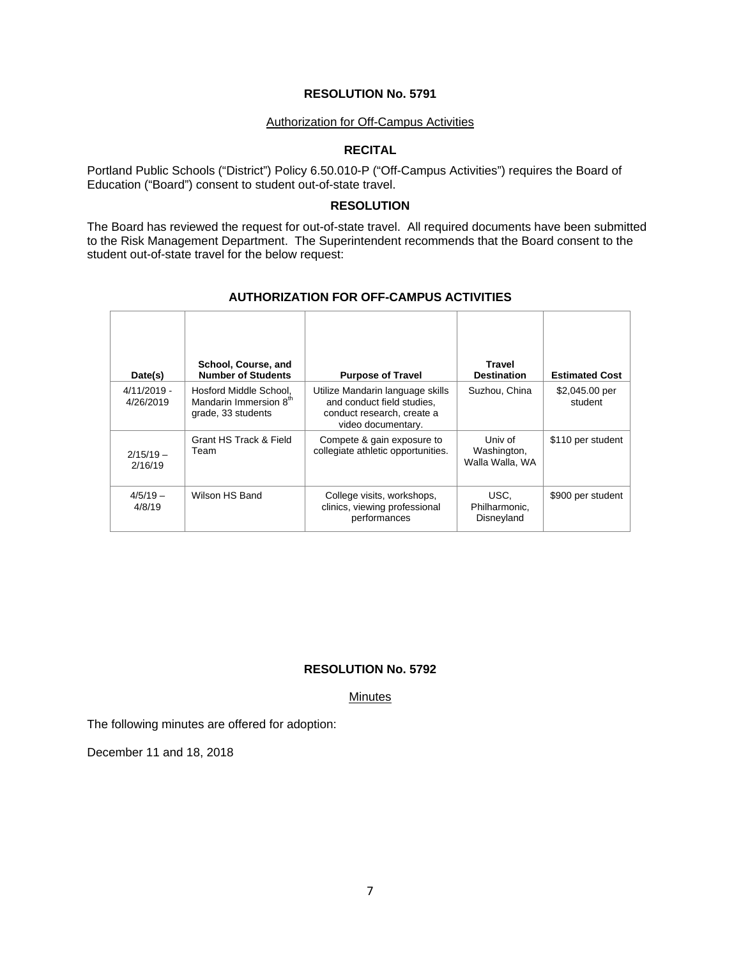#### Authorization for Off-Campus Activities

## **RECITAL**

Portland Public Schools ("District") Policy 6.50.010-P ("Off-Campus Activities") requires the Board of Education ("Board") consent to student out-of-state travel.

#### **RESOLUTION**

The Board has reviewed the request for out-of-state travel. All required documents have been submitted to the Risk Management Department. The Superintendent recommends that the Board consent to the student out-of-state travel for the below request:

| Date(s)                    | School, Course, and<br><b>Number of Students</b>                                   | <b>Purpose of Travel</b>                                                                                           | <b>Travel</b><br><b>Destination</b>       | <b>Estimated Cost</b>     |
|----------------------------|------------------------------------------------------------------------------------|--------------------------------------------------------------------------------------------------------------------|-------------------------------------------|---------------------------|
| $4/11/2019 -$<br>4/26/2019 | Hosford Middle School,<br>Mandarin Immersion 8 <sup>th</sup><br>grade, 33 students | Utilize Mandarin language skills<br>and conduct field studies.<br>conduct research, create a<br>video documentary. | Suzhou, China                             | \$2,045.00 per<br>student |
| $2/15/19 -$<br>2/16/19     | Grant HS Track & Field<br>Team                                                     | Compete & gain exposure to<br>collegiate athletic opportunities.                                                   | Univ of<br>Washington,<br>Walla Walla, WA | \$110 per student         |
| $4/5/19 -$<br>4/8/19       | Wilson HS Band                                                                     | College visits, workshops,<br>clinics, viewing professional<br>performances                                        | USC.<br>Philharmonic.<br>Disneyland       | \$900 per student         |

#### **AUTHORIZATION FOR OFF-CAMPUS ACTIVITIES**

## **RESOLUTION No. 5792**

Minutes

The following minutes are offered for adoption:

December 11 and 18, 2018